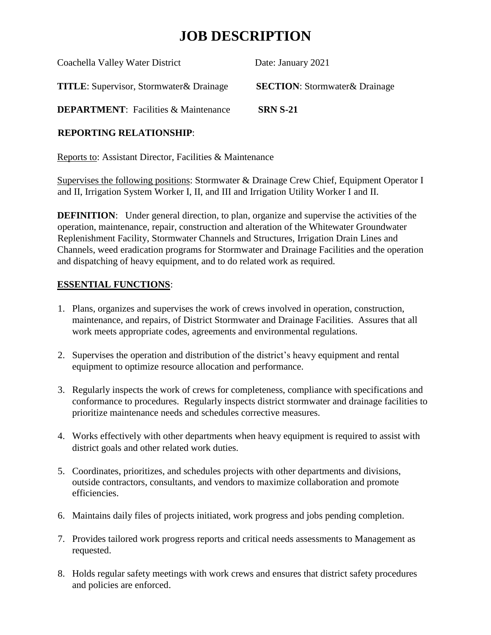# **JOB DESCRIPTION**

| Coachella Valley Water District                 | Date: January 2021                    |
|-------------------------------------------------|---------------------------------------|
| <b>TITLE:</b> Supervisor, Stormwater & Drainage | <b>SECTION:</b> Stormwater & Drainage |
| <b>DEPARTMENT:</b> Facilities & Maintenance     | <b>SRN S-21</b>                       |

### **REPORTING RELATIONSHIP**:

Reports to: Assistant Director, Facilities & Maintenance

Supervises the following positions: Stormwater & Drainage Crew Chief, Equipment Operator I and II, Irrigation System Worker I, II, and III and Irrigation Utility Worker I and II.

**DEFINITION:** Under general direction, to plan, organize and supervise the activities of the operation, maintenance, repair, construction and alteration of the Whitewater Groundwater Replenishment Facility, Stormwater Channels and Structures, Irrigation Drain Lines and Channels, weed eradication programs for Stormwater and Drainage Facilities and the operation and dispatching of heavy equipment, and to do related work as required.

### **ESSENTIAL FUNCTIONS**:

- 1. Plans, organizes and supervises the work of crews involved in operation, construction, maintenance, and repairs, of District Stormwater and Drainage Facilities. Assures that all work meets appropriate codes, agreements and environmental regulations.
- 2. Supervises the operation and distribution of the district's heavy equipment and rental equipment to optimize resource allocation and performance.
- 3. Regularly inspects the work of crews for completeness, compliance with specifications and conformance to procedures. Regularly inspects district stormwater and drainage facilities to prioritize maintenance needs and schedules corrective measures.
- 4. Works effectively with other departments when heavy equipment is required to assist with district goals and other related work duties.
- 5. Coordinates, prioritizes, and schedules projects with other departments and divisions, outside contractors, consultants, and vendors to maximize collaboration and promote efficiencies.
- 6. Maintains daily files of projects initiated, work progress and jobs pending completion.
- 7. Provides tailored work progress reports and critical needs assessments to Management as requested.
- 8. Holds regular safety meetings with work crews and ensures that district safety procedures and policies are enforced.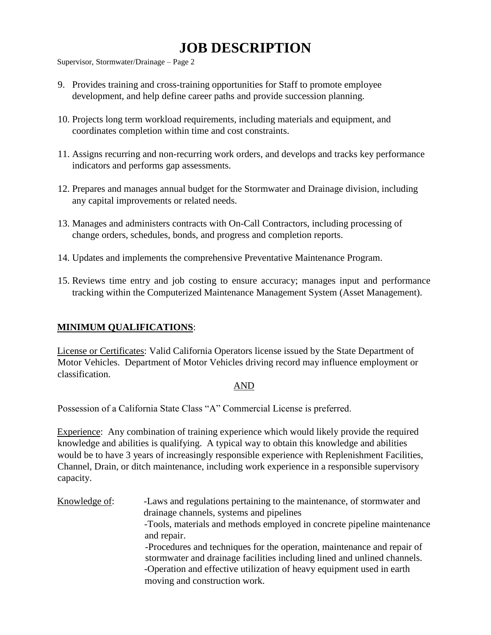# **JOB DESCRIPTION**

Supervisor, Stormwater/Drainage – Page 2

- 9. Provides training and cross-training opportunities for Staff to promote employee development, and help define career paths and provide succession planning.
- 10. Projects long term workload requirements, including materials and equipment, and coordinates completion within time and cost constraints.
- 11. Assigns recurring and non-recurring work orders, and develops and tracks key performance indicators and performs gap assessments.
- 12. Prepares and manages annual budget for the Stormwater and Drainage division, including any capital improvements or related needs.
- 13. Manages and administers contracts with On-Call Contractors, including processing of change orders, schedules, bonds, and progress and completion reports.
- 14. Updates and implements the comprehensive Preventative Maintenance Program.
- 15. Reviews time entry and job costing to ensure accuracy; manages input and performance tracking within the Computerized Maintenance Management System (Asset Management).

### **MINIMUM QUALIFICATIONS**:

License or Certificates: Valid California Operators license issued by the State Department of Motor Vehicles. Department of Motor Vehicles driving record may influence employment or classification.

#### AND

Possession of a California State Class "A" Commercial License is preferred.

Experience: Any combination of training experience which would likely provide the required knowledge and abilities is qualifying. A typical way to obtain this knowledge and abilities would be to have 3 years of increasingly responsible experience with Replenishment Facilities, Channel, Drain, or ditch maintenance, including work experience in a responsible supervisory capacity.

Knowledge of: - Laws and regulations pertaining to the maintenance, of stormwater and drainage channels, systems and pipelines -Tools, materials and methods employed in concrete pipeline maintenance and repair. -Procedures and techniques for the operation, maintenance and repair of stormwater and drainage facilities including lined and unlined channels. -Operation and effective utilization of heavy equipment used in earth moving and construction work.